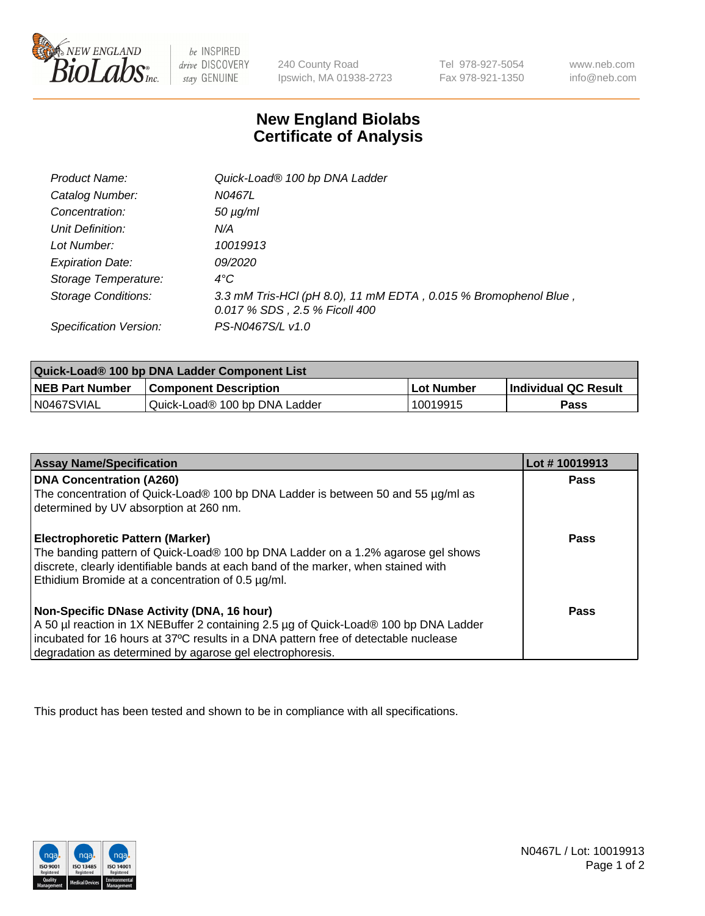

 $be$  INSPIRED drive DISCOVERY stay GENUINE

240 County Road Ipswich, MA 01938-2723 Tel 978-927-5054 Fax 978-921-1350 www.neb.com info@neb.com

## **New England Biolabs Certificate of Analysis**

| <b>Product Name:</b>       | Quick-Load® 100 bp DNA Ladder                                                                    |
|----------------------------|--------------------------------------------------------------------------------------------------|
| Catalog Number:            | N0467L                                                                                           |
| Concentration:             | $50 \mu g/ml$                                                                                    |
| Unit Definition:           | N/A                                                                                              |
| Lot Number:                | 10019913                                                                                         |
| <b>Expiration Date:</b>    | <i>09/2020</i>                                                                                   |
| Storage Temperature:       | $4^{\circ}$ C                                                                                    |
| <b>Storage Conditions:</b> | 3.3 mM Tris-HCl (pH 8.0), 11 mM EDTA, 0.015 % Bromophenol Blue,<br>0.017 % SDS, 2.5 % Ficoll 400 |
| Specification Version:     | PS-N0467S/L v1.0                                                                                 |

| Quick-Load® 100 bp DNA Ladder Component List |                               |             |                             |  |
|----------------------------------------------|-------------------------------|-------------|-----------------------------|--|
| <b>NEB Part Number</b>                       | <b>Component Description</b>  | ⊥Lot Number | <b>Individual QC Result</b> |  |
| N0467SVIAL                                   | Quick-Load® 100 bp DNA Ladder | 10019915    | Pass                        |  |

| <b>Assay Name/Specification</b>                                                                                                                                                                                                                                                        | Lot #10019913 |
|----------------------------------------------------------------------------------------------------------------------------------------------------------------------------------------------------------------------------------------------------------------------------------------|---------------|
| <b>DNA Concentration (A260)</b><br>The concentration of Quick-Load® 100 bp DNA Ladder is between 50 and 55 µg/ml as<br>determined by UV absorption at 260 nm.                                                                                                                          | <b>Pass</b>   |
| Electrophoretic Pattern (Marker)<br>The banding pattern of Quick-Load® 100 bp DNA Ladder on a 1.2% agarose gel shows<br>discrete, clearly identifiable bands at each band of the marker, when stained with<br>Ethidium Bromide at a concentration of 0.5 µg/ml.                        | Pass          |
| Non-Specific DNase Activity (DNA, 16 hour)<br>A 50 µl reaction in 1X NEBuffer 2 containing 2.5 µg of Quick-Load® 100 bp DNA Ladder<br>incubated for 16 hours at 37°C results in a DNA pattern free of detectable nuclease<br>degradation as determined by agarose gel electrophoresis. | Pass          |

This product has been tested and shown to be in compliance with all specifications.